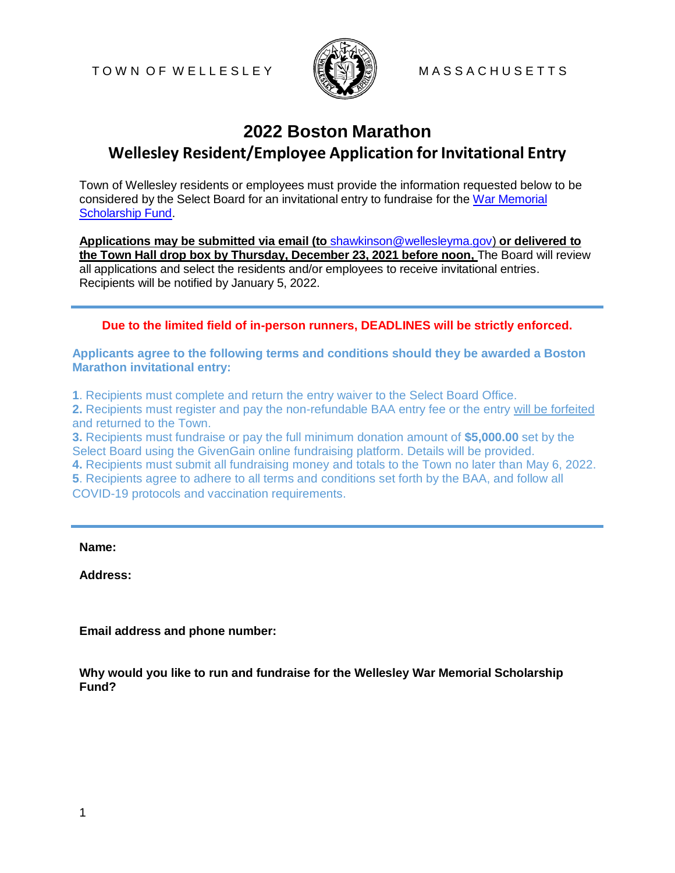

## **2022 Boston Marathon Wellesley Resident/Employee Application forInvitational Entry**

Town of Wellesley residents or employees must provide the information requested below to be considered by the Select Board for an invitational entry to fundraise for the [War Memorial](https://wellesleyma.gov/1263/War-Memorial-Scholarship-Fund)  [Scholarship Fund.](https://wellesleyma.gov/1263/War-Memorial-Scholarship-Fund)

**Applications may be submitted via email (to** [shawkinson@wellesleyma.gov\)](mailto:shawkinson@wellesleyma.gov) **or delivered to the Town Hall drop box by Thursday, December 23, 2021 before noon,** The Board will review all applications and select the residents and/or employees to receive invitational entries. Recipients will be notified by January 5, 2022.

## **Due to the limited field of in-person runners, DEADLINES will be strictly enforced.**

**Applicants agree to the following terms and conditions should they be awarded a Boston Marathon invitational entry:**

**1**. Recipients must complete and return the entry waiver to the Select Board Office.

**2.** Recipients must register and pay the non-refundable BAA entry fee or the entry will be forfeited and returned to the Town.

**3.** Recipients must fundraise or pay the full minimum donation amount of **\$5,000.00** set by the Select Board using the GivenGain online fundraising platform. Details will be provided.

**4.** Recipients must submit all fundraising money and totals to the Town no later than May 6, 2022.

**5**. Recipients agree to adhere to all terms and conditions set forth by the BAA, and follow all COVID-19 protocols and vaccination requirements.

**Name:**

**Address:**

**Email address and phone number:**

**Why would you like to run and fundraise for the Wellesley War Memorial Scholarship Fund?**